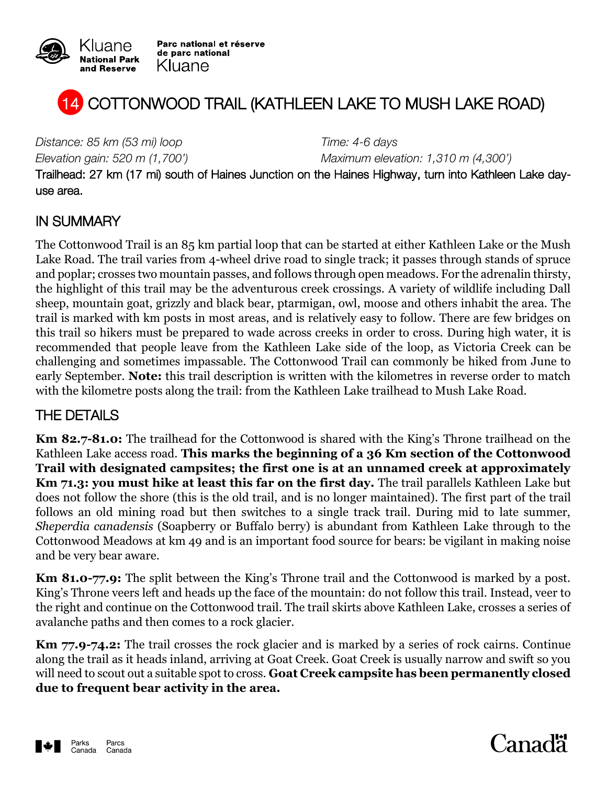

Parc national et réserve de parc national Kluane



*Distance: 85 km (53 mi) loop Time: 4-6 days*

*Elevation gain: 520 m (1,700') Maximum elevation: 1,310 m (4,300')*

Trailhead: 27 km (17 mi) south of Haines Junction on the Haines Highway, turn into Kathleen Lake dayuse area.

## IN SUMMARY

The Cottonwood Trail is an 85 km partial loop that can be started at either Kathleen Lake or the Mush Lake Road. The trail varies from 4-wheel drive road to single track; it passes through stands of spruce and poplar; crosses two mountain passes, and follows through open meadows. For the adrenalin thirsty, the highlight of this trail may be the adventurous creek crossings. A variety of wildlife including Dall sheep, mountain goat, grizzly and black bear, ptarmigan, owl, moose and others inhabit the area. The trail is marked with km posts in most areas, and is relatively easy to follow. There are few bridges on this trail so hikers must be prepared to wade across creeks in order to cross. During high water, it is recommended that people leave from the Kathleen Lake side of the loop, as Victoria Creek can be challenging and sometimes impassable. The Cottonwood Trail can commonly be hiked from June to early September. **Note:** this trail description is written with the kilometres in reverse order to match with the kilometre posts along the trail: from the Kathleen Lake trailhead to Mush Lake Road.

## THE DETAILS

**Km 82.7-81.0:** The trailhead for the Cottonwood is shared with the King's Throne trailhead on the Kathleen Lake access road. **This marks the beginning of a 36 Km section of the Cottonwood Trail with designated campsites; the first one is at an unnamed creek at approximately Km 71.3: you must hike at least this far on the first day.** The trail parallels Kathleen Lake but does not follow the shore (this is the old trail, and is no longer maintained). The first part of the trail follows an old mining road but then switches to a single track trail. During mid to late summer, *Sheperdia canadensis* (Soapberry or Buffalo berry) is abundant from Kathleen Lake through to the Cottonwood Meadows at km 49 and is an important food source for bears: be vigilant in making noise and be very bear aware.

**Km 81.0-77.9:** The split between the King's Throne trail and the Cottonwood is marked by a post. King's Throne veers left and heads up the face of the mountain: do not follow this trail. Instead, veer to the right and continue on the Cottonwood trail. The trail skirts above Kathleen Lake, crosses a series of avalanche paths and then comes to a rock glacier.

**Km 77.9-74.2:** The trail crosses the rock glacier and is marked by a series of rock cairns. Continue along the trail as it heads inland, arriving at Goat Creek. Goat Creek is usually narrow and swift so you will need to scout out a suitable spot to cross. **Goat Creek campsite has been permanently closed due to frequent bear activity in the area.**



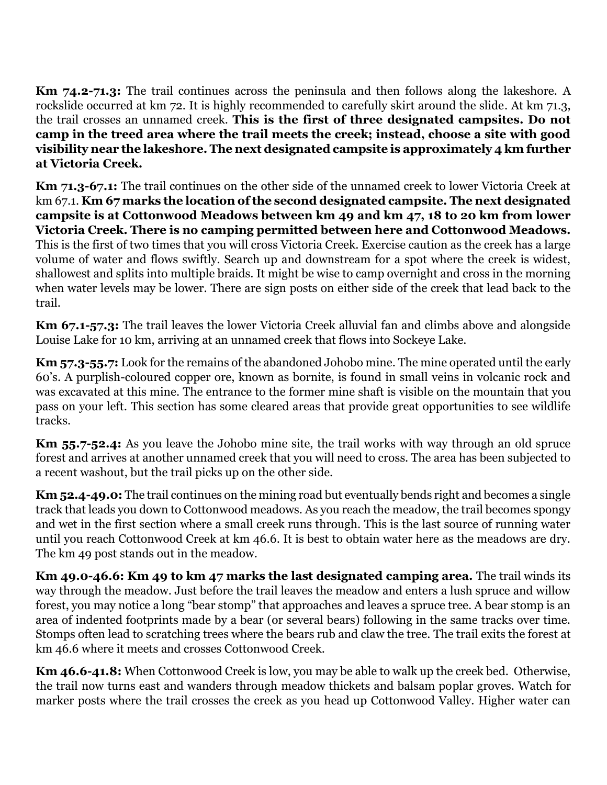**Km 74.2-71.3:** The trail continues across the peninsula and then follows along the lakeshore. A rockslide occurred at km 72. It is highly recommended to carefully skirt around the slide. At km 71.3, the trail crosses an unnamed creek. **This is the first of three designated campsites. Do not camp in the treed area where the trail meets the creek; instead, choose a site with good visibility near the lakeshore. The next designated campsite is approximately 4 km further at Victoria Creek.**

**Km 71.3-67.1:** The trail continues on the other side of the unnamed creek to lower Victoria Creek at km 67.1. **Km 67 marks the location of the second designated campsite. The next designated campsite is at Cottonwood Meadows between km 49 and km 47, 18 to 20 km from lower Victoria Creek. There is no camping permitted between here and Cottonwood Meadows.** This is the first of two times that you will cross Victoria Creek. Exercise caution as the creek has a large volume of water and flows swiftly. Search up and downstream for a spot where the creek is widest, shallowest and splits into multiple braids. It might be wise to camp overnight and cross in the morning when water levels may be lower. There are sign posts on either side of the creek that lead back to the trail.

**Km 67.1-57.3:** The trail leaves the lower Victoria Creek alluvial fan and climbs above and alongside Louise Lake for 10 km, arriving at an unnamed creek that flows into Sockeye Lake.

**Km 57.3-55.7:** Look for the remains of the abandoned Johobo mine. The mine operated until the early 60's. A purplish-coloured copper ore, known as bornite, is found in small veins in volcanic rock and was excavated at this mine. The entrance to the former mine shaft is visible on the mountain that you pass on your left. This section has some cleared areas that provide great opportunities to see wildlife tracks.

**Km 55.7-52.4:** As you leave the Johobo mine site, the trail works with way through an old spruce forest and arrives at another unnamed creek that you will need to cross. The area has been subjected to a recent washout, but the trail picks up on the other side.

**Km 52.4-49.0:** The trail continues on the mining road but eventually bends right and becomes a single track that leads you down to Cottonwood meadows. As you reach the meadow, the trail becomes spongy and wet in the first section where a small creek runs through. This is the last source of running water until you reach Cottonwood Creek at km 46.6. It is best to obtain water here as the meadows are dry. The km 49 post stands out in the meadow.

**Km 49.0-46.6: Km 49 to km 47 marks the last designated camping area.** The trail winds its way through the meadow. Just before the trail leaves the meadow and enters a lush spruce and willow forest, you may notice a long "bear stomp" that approaches and leaves a spruce tree. A bear stomp is an area of indented footprints made by a bear (or several bears) following in the same tracks over time. Stomps often lead to scratching trees where the bears rub and claw the tree. The trail exits the forest at km 46.6 where it meets and crosses Cottonwood Creek.

**Km 46.6-41.8:** When Cottonwood Creek is low, you may be able to walk up the creek bed. Otherwise, the trail now turns east and wanders through meadow thickets and balsam poplar groves. Watch for marker posts where the trail crosses the creek as you head up Cottonwood Valley. Higher water can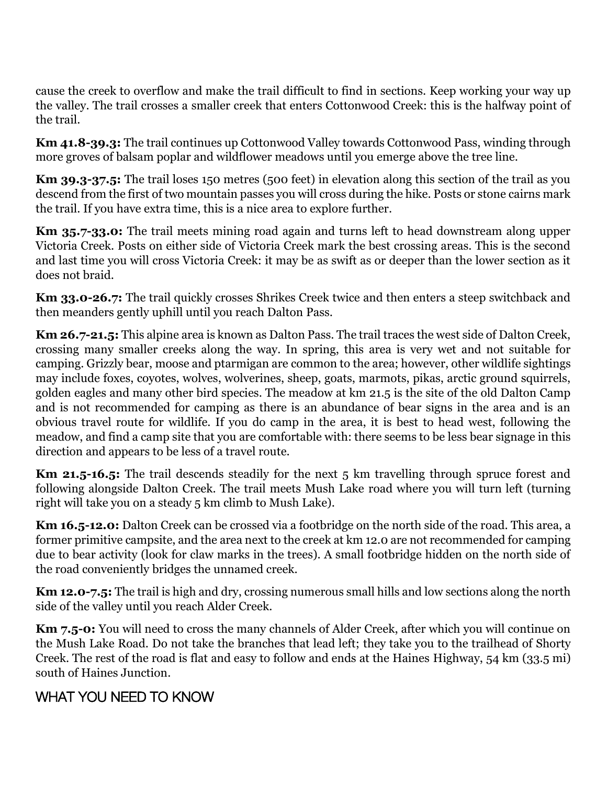cause the creek to overflow and make the trail difficult to find in sections. Keep working your way up the valley. The trail crosses a smaller creek that enters Cottonwood Creek: this is the halfway point of the trail.

**Km 41.8-39.3:** The trail continues up Cottonwood Valley towards Cottonwood Pass, winding through more groves of balsam poplar and wildflower meadows until you emerge above the tree line.

**Km 39.3-37.5:** The trail loses 150 metres (500 feet) in elevation along this section of the trail as you descend from the first of two mountain passes you will cross during the hike. Posts or stone cairns mark the trail. If you have extra time, this is a nice area to explore further.

**Km 35.7-33.0:** The trail meets mining road again and turns left to head downstream along upper Victoria Creek. Posts on either side of Victoria Creek mark the best crossing areas. This is the second and last time you will cross Victoria Creek: it may be as swift as or deeper than the lower section as it does not braid.

**Km 33.0-26.7:** The trail quickly crosses Shrikes Creek twice and then enters a steep switchback and then meanders gently uphill until you reach Dalton Pass.

**Km 26.7-21.5:** This alpine area is known as Dalton Pass. The trail traces the west side of Dalton Creek, crossing many smaller creeks along the way. In spring, this area is very wet and not suitable for camping. Grizzly bear, moose and ptarmigan are common to the area; however, other wildlife sightings may include foxes, coyotes, wolves, wolverines, sheep, goats, marmots, pikas, arctic ground squirrels, golden eagles and many other bird species. The meadow at km 21.5 is the site of the old Dalton Camp and is not recommended for camping as there is an abundance of bear signs in the area and is an obvious travel route for wildlife. If you do camp in the area, it is best to head west, following the meadow, and find a camp site that you are comfortable with: there seems to be less bear signage in this direction and appears to be less of a travel route.

**Km 21.5-16.5:** The trail descends steadily for the next 5 km travelling through spruce forest and following alongside Dalton Creek. The trail meets Mush Lake road where you will turn left (turning right will take you on a steady 5 km climb to Mush Lake).

**Km 16.5-12.0:** Dalton Creek can be crossed via a footbridge on the north side of the road. This area, a former primitive campsite, and the area next to the creek at km 12.0 are not recommended for camping due to bear activity (look for claw marks in the trees). A small footbridge hidden on the north side of the road conveniently bridges the unnamed creek.

**Km 12.0-7.5:** The trail is high and dry, crossing numerous small hills and low sections along the north side of the valley until you reach Alder Creek.

**Km 7.5-0:** You will need to cross the many channels of Alder Creek, after which you will continue on the Mush Lake Road. Do not take the branches that lead left; they take you to the trailhead of Shorty Creek. The rest of the road is flat and easy to follow and ends at the Haines Highway, 54 km (33.5 mi) south of Haines Junction.

## WHAT YOU NEED TO KNOW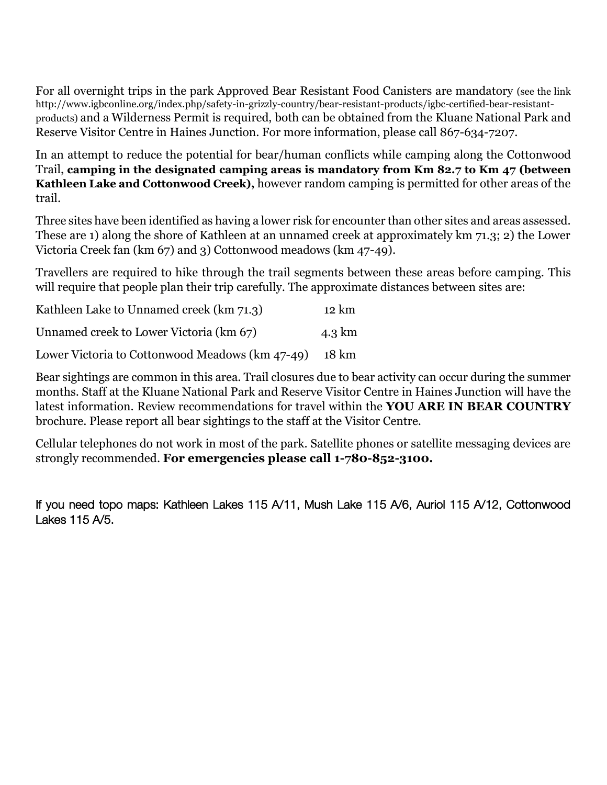For all overnight trips in the park Approved Bear Resistant Food Canisters are mandatory (see the link http://www.igbconline.org/index.php/safety-in-grizzly-country/bear-resistant-products/igbc-certified-bear-resistantproducts) and a Wilderness Permit is required, both can be obtained from the Kluane National Park and Reserve Visitor Centre in Haines Junction. For more information, please call 867-634-7207.

In an attempt to reduce the potential for bear/human conflicts while camping along the Cottonwood Trail, **camping in the designated camping areas is mandatory from Km 82.7 to Km 47 (between Kathleen Lake and Cottonwood Creek),** however random camping is permitted for other areas of the trail.

Three sites have been identified as having a lower risk for encounter than other sites and areas assessed. These are 1) along the shore of Kathleen at an unnamed creek at approximately km 71.3; 2) the Lower Victoria Creek fan (km 67) and 3) Cottonwood meadows (km 47-49).

Travellers are required to hike through the trail segments between these areas before camping. This will require that people plan their trip carefully. The approximate distances between sites are:

| Kathleen Lake to Unnamed creek (km 71.3)        | $12 \text{ km}$ |
|-------------------------------------------------|-----------------|
| Unnamed creek to Lower Victoria (km 67)         | 4.3 km          |
| Lower Victoria to Cottonwood Meadows (km 47-49) | 18 km           |

Bear sightings are common in this area. Trail closures due to bear activity can occur during the summer months. Staff at the Kluane National Park and Reserve Visitor Centre in Haines Junction will have the latest information. Review recommendations for travel within the **YOU ARE IN BEAR COUNTRY** brochure. Please report all bear sightings to the staff at the Visitor Centre.

Cellular telephones do not work in most of the park. Satellite phones or satellite messaging devices are strongly recommended. **For emergencies please call 1-780-852-3100.**

If you need topo maps: Kathleen Lakes 115 A/11, Mush Lake 115 A/6, Auriol 115 A/12, Cottonwood Lakes 115 A/5.